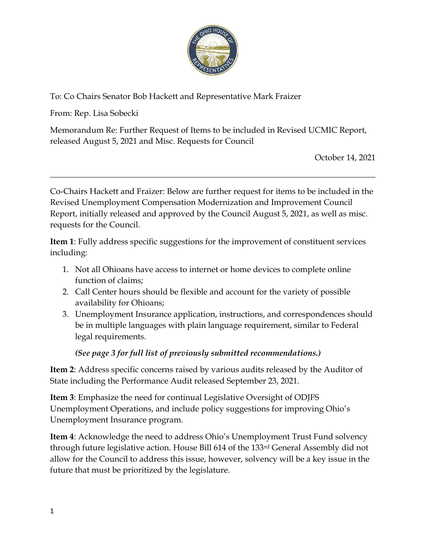

To: Co Chairs Senator Bob Hackett and Representative Mark Fraizer

From: Rep. Lisa Sobecki

Memorandum Re: Further Request of Items to be included in Revised UCMIC Report, released August 5, 2021 and Misc. Requests for Council

October 14, 2021

Co-Chairs Hackett and Fraizer: Below are further request for items to be included in the Revised Unemployment Compensation Modernization and Improvement Council Report, initially released and approved by the Council August 5, 2021, as well as misc. requests for the Council.

Item 1: Fully address specific suggestions for the improvement of constituent services including:

- 1. Not all Ohioans have access to internet or home devices to complete online function of claims;
- 2. Call Center hours should be flexible and account for the variety of possible availability for Ohioans;
- 3. Unemployment Insurance application, instructions, and correspondences should be in multiple languages with plain language requirement, similar to Federal legal requirements.

# (See page 3 for full list of previously submitted recommendations.)

Item 2: Address specific concerns raised by various audits released by the Auditor of State including the Performance Audit released September 23, 2021.

Item 3: Emphasize the need for continual Legislative Oversight of ODJFS Unemployment Operations, and include policy suggestions for improving Ohio's Unemployment Insurance program.

Item 4: Acknowledge the need to address Ohio's Unemployment Trust Fund solvency through future legislative action. House Bill 614 of the 133rd General Assembly did not allow for the Council to address this issue, however, solvency will be a key issue in the future that must be prioritized by the legislature.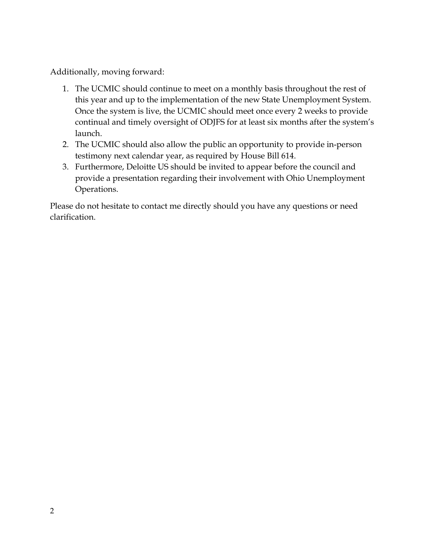Additionally, moving forward:

- 1. The UCMIC should continue to meet on a monthly basis throughout the rest of this year and up to the implementation of the new State Unemployment System. Once the system is live, the UCMIC should meet once every 2 weeks to provide continual and timely oversight of ODJFS for at least six months after the system's launch.
- 2. The UCMIC should also allow the public an opportunity to provide in-person testimony next calendar year, as required by House Bill 614.
- 3. Furthermore, Deloitte US should be invited to appear before the council and provide a presentation regarding their involvement with Ohio Unemployment Operations.

Please do not hesitate to contact me directly should you have any questions or need clarification.